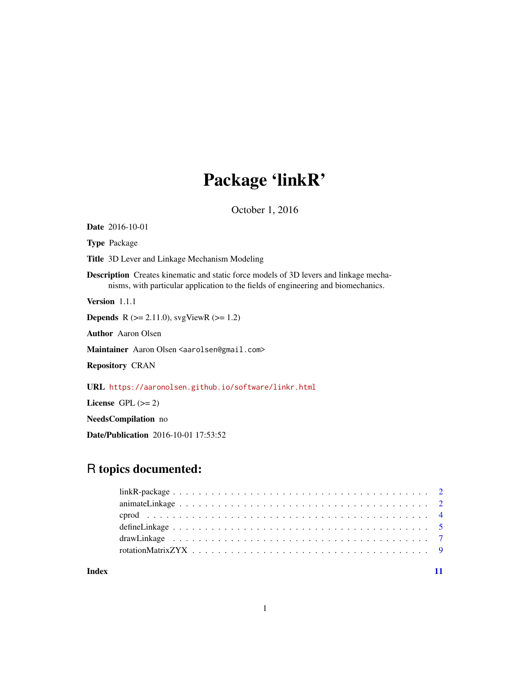# Package 'linkR'

October 1, 2016

Date 2016-10-01 Type Package Title 3D Lever and Linkage Mechanism Modeling Description Creates kinematic and static force models of 3D levers and linkage mechanisms, with particular application to the fields of engineering and biomechanics. Version 1.1.1 **Depends** R ( $>= 2.11.0$ ), svgViewR ( $>= 1.2$ ) Author Aaron Olsen Maintainer Aaron Olsen <aarolsen@gmail.com> Repository CRAN URL <https://aaronolsen.github.io/software/linkr.html> License GPL  $(>= 2)$ NeedsCompilation no

Date/Publication 2016-10-01 17:53:52

## R topics documented:

| define Linkage $\dots \dots \dots \dots \dots \dots \dots \dots \dots \dots \dots \dots \dots \dots \dots \dots \dots \dots$ |  |
|------------------------------------------------------------------------------------------------------------------------------|--|
|                                                                                                                              |  |
|                                                                                                                              |  |
|                                                                                                                              |  |

**Index** [11](#page-10-0)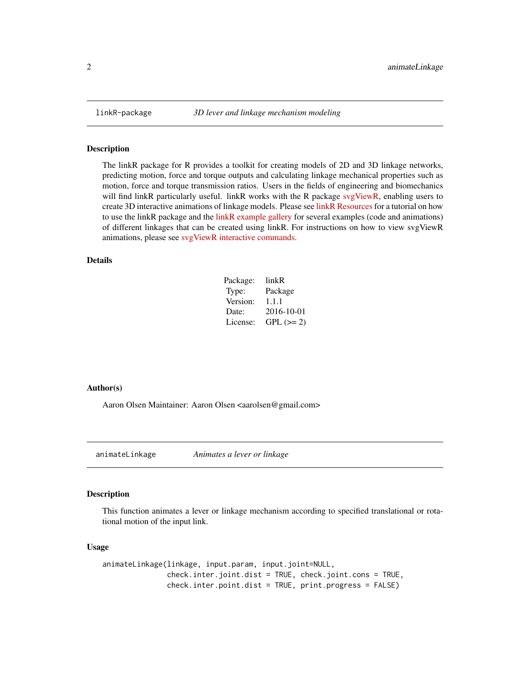<span id="page-1-0"></span>

The linkR package for R provides a toolkit for creating models of 2D and 3D linkage networks, predicting motion, force and torque outputs and calculating linkage mechanical properties such as motion, force and torque transmission ratios. Users in the fields of engineering and biomechanics will find linkR particularly useful. linkR works with the R package [svgViewR,](https://CRAN.R-project.org/package=svgViewR) enabling users to create 3D interactive animations of linkage models. Please see [linkR Resources](https://aaronolsen.github.io/software/linkr.html) for a tutorial on how to use the linkR package and the [linkR example gallery](https://aaronolsen.github.io/software/linkr/examples.html) for several examples (code and animations) of different linkages that can be created using linkR. For instructions on how to view svgViewR animations, please see [svgViewR interactive commands.](https://aaronolsen.github.io/software/svgviewr/interactive.html)

#### Details

| Package: | linkR      |
|----------|------------|
| Type:    | Package    |
| Version: | 1.1.1      |
| Date:    | 2016-10-01 |
| License: | $GPL (=2)$ |

#### Author(s)

Aaron Olsen Maintainer: Aaron Olsen <aarolsen@gmail.com>

<span id="page-1-1"></span>animateLinkage *Animates a lever or linkage*

#### Description

This function animates a lever or linkage mechanism according to specified translational or rotational motion of the input link.

#### Usage

animateLinkage(linkage, input.param, input.joint=NULL, check.inter.joint.dist = TRUE, check.joint.cons = TRUE, check.inter.point.dist = TRUE, print.progress = FALSE)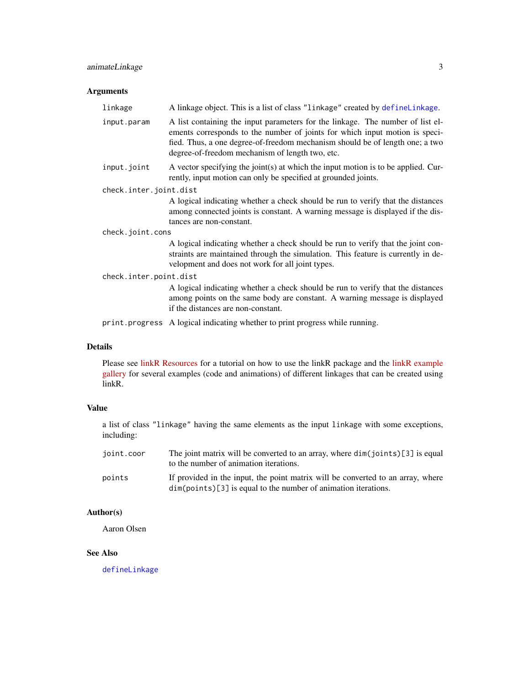#### <span id="page-2-0"></span>animateLinkage 3

#### Arguments

| linkage                | A linkage object. This is a list of class "linkage" created by defineLinkage.                                                                                                                                                                                                                    |  |
|------------------------|--------------------------------------------------------------------------------------------------------------------------------------------------------------------------------------------------------------------------------------------------------------------------------------------------|--|
| input.param            | A list containing the input parameters for the linkage. The number of list el-<br>ements corresponds to the number of joints for which input motion is speci-<br>fied. Thus, a one degree-of-freedom mechanism should be of length one; a two<br>degree-of-freedom mechanism of length two, etc. |  |
| input.joint            | A vector specifying the joint(s) at which the input motion is to be applied. Cur-<br>rently, input motion can only be specified at grounded joints.                                                                                                                                              |  |
| check.inter.joint.dist |                                                                                                                                                                                                                                                                                                  |  |
|                        | A logical indicating whether a check should be run to verify that the distances<br>among connected joints is constant. A warning message is displayed if the dis-<br>tances are non-constant.                                                                                                    |  |
| check.joint.cons       |                                                                                                                                                                                                                                                                                                  |  |
|                        | A logical indicating whether a check should be run to verify that the joint con-<br>straints are maintained through the simulation. This feature is currently in de-<br>velopment and does not work for all joint types.                                                                         |  |
| check.inter.point.dist |                                                                                                                                                                                                                                                                                                  |  |
|                        | A logical indicating whether a check should be run to verify that the distances<br>among points on the same body are constant. A warning message is displayed<br>if the distances are non-constant.                                                                                              |  |
|                        | print progress A logical indicating whether to print progress while running.                                                                                                                                                                                                                     |  |

#### Details

Please see [linkR Resources](https://aaronolsen.github.io/software/linkr.html) for a tutorial on how to use the linkR package and the [linkR example](https://aaronolsen.github.io/software/linkr/examples.html) [gallery](https://aaronolsen.github.io/software/linkr/examples.html) for several examples (code and animations) of different linkages that can be created using linkR.

#### Value

a list of class "linkage" having the same elements as the input linkage with some exceptions, including:

| joint.coor | The joint matrix will be converted to an array, where $dim(joints)[3]$ is equal<br>to the number of animation iterations.                           |
|------------|-----------------------------------------------------------------------------------------------------------------------------------------------------|
| points     | If provided in the input, the point matrix will be converted to an array, where<br>$dim(points)[3]$ is equal to the number of animation iterations. |

#### Author(s)

Aaron Olsen

#### See Also

[defineLinkage](#page-4-1)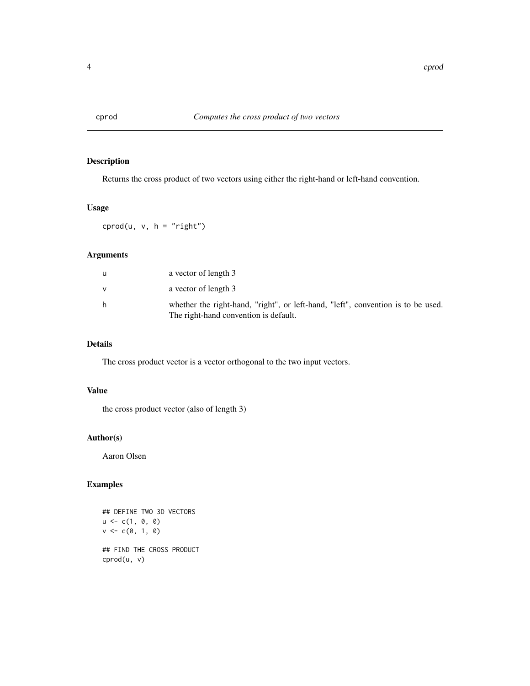<span id="page-3-0"></span>

Returns the cross product of two vectors using either the right-hand or left-hand convention.

#### Usage

 $cprod(u, v, h = "right")$ 

#### Arguments

|   | a vector of length 3                                                                                                      |
|---|---------------------------------------------------------------------------------------------------------------------------|
| v | a vector of length 3                                                                                                      |
| h | whether the right-hand, "right", or left-hand, "left", convention is to be used.<br>The right-hand convention is default. |

#### Details

The cross product vector is a vector orthogonal to the two input vectors.

#### Value

the cross product vector (also of length 3)

#### Author(s)

Aaron Olsen

#### Examples

```
## DEFINE TWO 3D VECTORS
u \leq c(1, 0, 0)v \leq c(0, 1, 0)## FIND THE CROSS PRODUCT
cprod(u, v)
```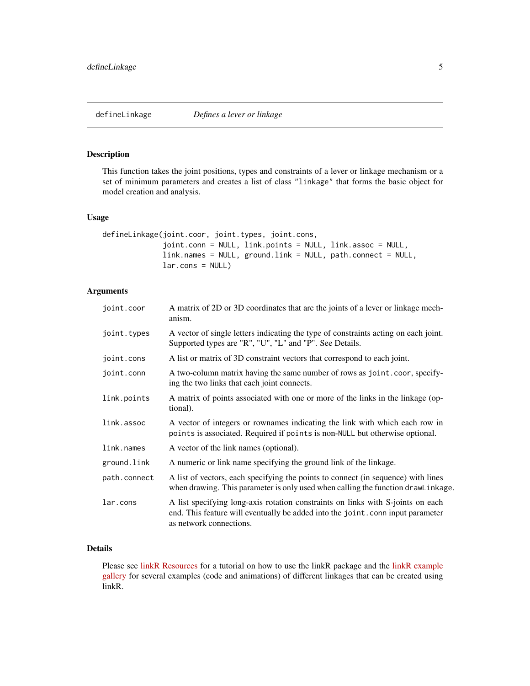<span id="page-4-1"></span><span id="page-4-0"></span>This function takes the joint positions, types and constraints of a lever or linkage mechanism or a set of minimum parameters and creates a list of class "linkage" that forms the basic object for model creation and analysis.

#### Usage

```
defineLinkage(joint.coor, joint.types, joint.cons,
             joint.conn = NULL, link.points = NULL, link.assoc = NULL,
             link.names = NULL, ground.link = NULL, path.connect = NULL,
             lar.coms = NULL)
```
#### Arguments

| joint.coor   | A matrix of 2D or 3D coordinates that are the joints of a lever or linkage mech-<br>anism.                                                                                                   |
|--------------|----------------------------------------------------------------------------------------------------------------------------------------------------------------------------------------------|
| joint.types  | A vector of single letters indicating the type of constraints acting on each joint.<br>Supported types are "R", "U", "L" and "P". See Details.                                               |
| joint.cons   | A list or matrix of 3D constraint vectors that correspond to each joint.                                                                                                                     |
| joint.conn   | A two-column matrix having the same number of rows as joint.coor, specify-<br>ing the two links that each joint connects.                                                                    |
| link.points  | A matrix of points associated with one or more of the links in the linkage (op-<br>tional).                                                                                                  |
| link.assoc   | A vector of integers or rownames indicating the link with which each row in<br>points is associated. Required if points is non-NULL but otherwise optional.                                  |
| link.names   | A vector of the link names (optional).                                                                                                                                                       |
| ground.link  | A numeric or link name specifying the ground link of the linkage.                                                                                                                            |
| path.connect | A list of vectors, each specifying the points to connect (in sequence) with lines<br>when drawing. This parameter is only used when calling the function drawLinkage.                        |
| lar.cons     | A list specifying long-axis rotation constraints on links with S-joints on each<br>end. This feature will eventually be added into the joint.conn input parameter<br>as network connections. |

#### Details

Please see [linkR Resources](https://aaronolsen.github.io/software/linkr.html) for a tutorial on how to use the linkR package and the [linkR example](https://aaronolsen.github.io/software/linkr/examples.html) [gallery](https://aaronolsen.github.io/software/linkr/examples.html) for several examples (code and animations) of different linkages that can be created using linkR.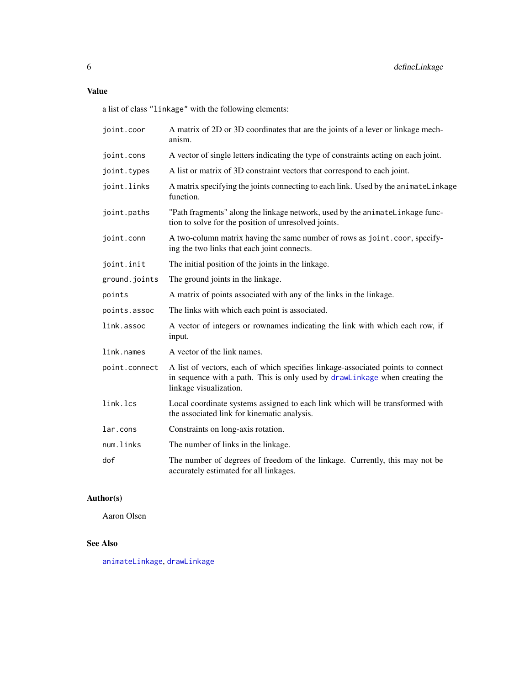#### <span id="page-5-0"></span>Value

a list of class "linkage" with the following elements:

| joint.coor    | A matrix of 2D or 3D coordinates that are the joints of a lever or linkage mech-<br>anism.                                                                                               |
|---------------|------------------------------------------------------------------------------------------------------------------------------------------------------------------------------------------|
| joint.cons    | A vector of single letters indicating the type of constraints acting on each joint.                                                                                                      |
| joint.types   | A list or matrix of 3D constraint vectors that correspond to each joint.                                                                                                                 |
| joint.links   | A matrix specifying the joints connecting to each link. Used by the animateLinkage<br>function.                                                                                          |
| joint.paths   | "Path fragments" along the linkage network, used by the animatelinkage func-<br>tion to solve for the position of unresolved joints.                                                     |
| joint.conn    | A two-column matrix having the same number of rows as joint.coor, specify-<br>ing the two links that each joint connects.                                                                |
| joint.init    | The initial position of the joints in the linkage.                                                                                                                                       |
| ground.joints | The ground joints in the linkage.                                                                                                                                                        |
| points        | A matrix of points associated with any of the links in the linkage.                                                                                                                      |
| points.assoc  | The links with which each point is associated.                                                                                                                                           |
| link.assoc    | A vector of integers or rownames indicating the link with which each row, if<br>input.                                                                                                   |
| link.names    | A vector of the link names.                                                                                                                                                              |
| point.connect | A list of vectors, each of which specifies linkage-associated points to connect<br>in sequence with a path. This is only used by drawlinkage when creating the<br>linkage visualization. |
| link.lcs      | Local coordinate systems assigned to each link which will be transformed with<br>the associated link for kinematic analysis.                                                             |
| lar.cons      | Constraints on long-axis rotation.                                                                                                                                                       |
| num.links     | The number of links in the linkage.                                                                                                                                                      |
| dof           | The number of degrees of freedom of the linkage. Currently, this may not be<br>accurately estimated for all linkages.                                                                    |

#### Author(s)

Aaron Olsen

### See Also

[animateLinkage](#page-1-1), [drawLinkage](#page-6-1)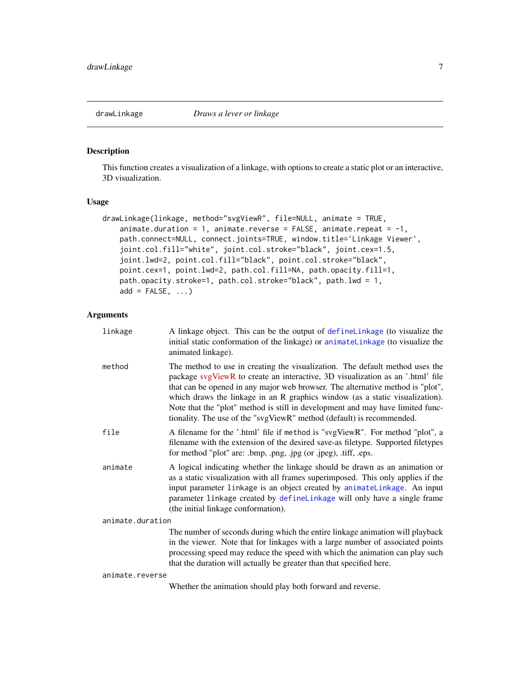<span id="page-6-1"></span><span id="page-6-0"></span>

This function creates a visualization of a linkage, with options to create a static plot or an interactive, 3D visualization.

#### Usage

```
drawLinkage(linkage, method="svgViewR", file=NULL, animate = TRUE,
   animate.duration = 1, animate.reverse = FALSE, animate.repeat = -1,
   path.connect=NULL, connect.joints=TRUE, window.title='Linkage Viewer',
    joint.col.fill="white", joint.col.stroke="black", joint.cex=1.5,
   joint.lwd=2, point.col.fill="black", point.col.stroke="black",
   point.cex=1, point.lwd=2, path.col.fill=NA, path.opacity.fill=1,
   path.opacity.stroke=1, path.col.stroke="black", path.lwd = 1,
   add = FALSE, ...)
```
#### Arguments

| linkage          | A linkage object. This can be the output of define Linkage (to visualize the<br>initial static conformation of the linkage) or animateLinkage (to visualize the<br>animated linkage).                                                                                                                                                                                                                                                                                                       |
|------------------|---------------------------------------------------------------------------------------------------------------------------------------------------------------------------------------------------------------------------------------------------------------------------------------------------------------------------------------------------------------------------------------------------------------------------------------------------------------------------------------------|
| method           | The method to use in creating the visualization. The default method uses the<br>package svgViewR to create an interactive, 3D visualization as an '.html' file<br>that can be opened in any major web browser. The alternative method is "plot",<br>which draws the linkage in an R graphics window (as a static visualization).<br>Note that the "plot" method is still in development and may have limited func-<br>tionality. The use of the "svgViewR" method (default) is recommended. |
| file             | A filename for the '.html' file if method is "svgViewR". For method "plot", a<br>filename with the extension of the desired save-as filetype. Supported filetypes<br>for method "plot" are: .bmp, .png, .jpg (or .jpeg), .tiff, .eps.                                                                                                                                                                                                                                                       |
| animate          | A logical indicating whether the linkage should be drawn as an animation or<br>as a static visualization with all frames superimposed. This only applies if the<br>input parameter linkage is an object created by animateLinkage. An input<br>parameter linkage created by defineLinkage will only have a single frame<br>(the initial linkage conformation).                                                                                                                              |
| animate.duration |                                                                                                                                                                                                                                                                                                                                                                                                                                                                                             |
|                  | The number of seconds during which the entire linkage animation will playback<br>in the viewer. Note that for linkages with a large number of associated points<br>processing speed may reduce the speed with which the animation can play such<br>that the duration will actually be greater than that specified here.                                                                                                                                                                     |
| animate.reverse  |                                                                                                                                                                                                                                                                                                                                                                                                                                                                                             |

Whether the animation should play both forward and reverse.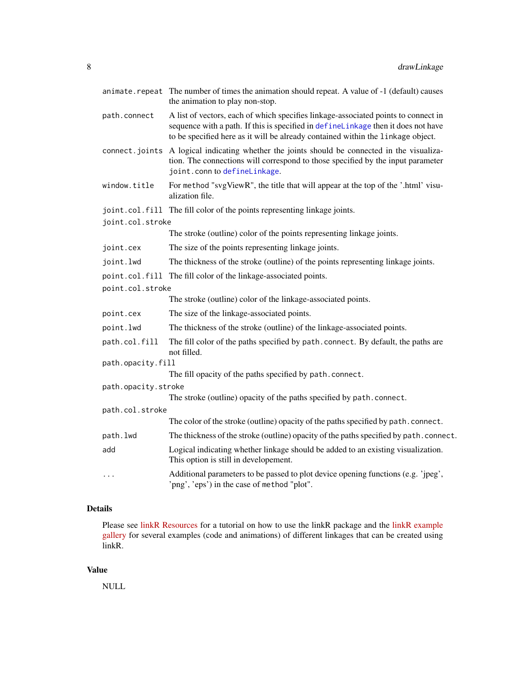|                   |                     | animate.repeat The number of times the animation should repeat. A value of -1 (default) causes<br>the animation to play non-stop.                                                                                                                          |
|-------------------|---------------------|------------------------------------------------------------------------------------------------------------------------------------------------------------------------------------------------------------------------------------------------------------|
|                   | path.connect        | A list of vectors, each of which specifies linkage-associated points to connect in<br>sequence with a path. If this is specified in defineLinkage then it does not have<br>to be specified here as it will be already contained within the linkage object. |
|                   | connect.joints      | A logical indicating whether the joints should be connected in the visualiza-<br>tion. The connections will correspond to those specified by the input parameter<br>joint.conn to defineLinkage.                                                           |
|                   | window.title        | For method "svgViewR", the title that will appear at the top of the '.html' visu-<br>alization file.                                                                                                                                                       |
|                   |                     | joint.col.fill The fill color of the points representing linkage joints.                                                                                                                                                                                   |
|                   | joint.col.stroke    |                                                                                                                                                                                                                                                            |
|                   |                     | The stroke (outline) color of the points representing linkage joints.                                                                                                                                                                                      |
|                   | joint.cex           | The size of the points representing linkage joints.                                                                                                                                                                                                        |
|                   | joint.lwd           | The thickness of the stroke (outline) of the points representing linkage joints.                                                                                                                                                                           |
|                   |                     | point.col.fill The fill color of the linkage-associated points.                                                                                                                                                                                            |
|                   | point.col.stroke    |                                                                                                                                                                                                                                                            |
|                   |                     | The stroke (outline) color of the linkage-associated points.                                                                                                                                                                                               |
|                   | point.cex           | The size of the linkage-associated points.                                                                                                                                                                                                                 |
|                   | point.lwd           | The thickness of the stroke (outline) of the linkage-associated points.                                                                                                                                                                                    |
|                   | path.col.fill       | The fill color of the paths specified by path. connect. By default, the paths are<br>not filled.                                                                                                                                                           |
| path.opacity.fill |                     |                                                                                                                                                                                                                                                            |
|                   |                     | The fill opacity of the paths specified by path.connect.                                                                                                                                                                                                   |
|                   | path.opacity.stroke |                                                                                                                                                                                                                                                            |
|                   |                     | The stroke (outline) opacity of the paths specified by path.connect.                                                                                                                                                                                       |
|                   | path.col.stroke     | The color of the stroke (outline) opacity of the paths specified by path. connect.                                                                                                                                                                         |
|                   | path.lwd            | The thickness of the stroke (outline) opacity of the paths specified by path. connect.                                                                                                                                                                     |
|                   |                     |                                                                                                                                                                                                                                                            |
|                   | add                 | Logical indicating whether linkage should be added to an existing visualization.<br>This option is still in developement.                                                                                                                                  |
|                   | .                   | Additional parameters to be passed to plot device opening functions (e.g. 'jpeg',<br>'png', 'eps') in the case of method "plot".                                                                                                                           |

#### Details

Please see [linkR Resources](https://aaronolsen.github.io/software/linkr.html) for a tutorial on how to use the linkR package and the [linkR example](https://aaronolsen.github.io/software/linkr/examples.html) [gallery](https://aaronolsen.github.io/software/linkr/examples.html) for several examples (code and animations) of different linkages that can be created using linkR.

#### Value

NULL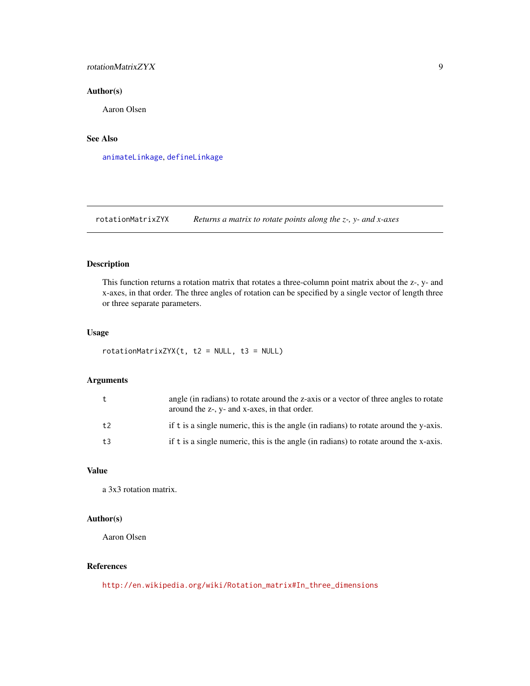#### <span id="page-8-0"></span>rotationMatrixZYX 9

#### Author(s)

Aaron Olsen

#### See Also

[animateLinkage](#page-1-1), [defineLinkage](#page-4-1)

rotationMatrixZYX *Returns a matrix to rotate points along the z-, y- and x-axes*

#### Description

This function returns a rotation matrix that rotates a three-column point matrix about the z-, y- and x-axes, in that order. The three angles of rotation can be specified by a single vector of length three or three separate parameters.

#### Usage

 $rotationMatrixZYX(t, t2 = NULL, t3 = NULL)$ 

#### Arguments

| t  | angle (in radians) to rotate around the z-axis or a vector of three angles to rotate<br>around the z-, y- and x-axes, in that order. |
|----|--------------------------------------------------------------------------------------------------------------------------------------|
| t2 | if t is a single numeric, this is the angle (in radians) to rotate around the y-axis.                                                |
| t3 | if t is a single numeric, this is the angle (in radians) to rotate around the x-axis.                                                |

#### Value

a 3x3 rotation matrix.

#### Author(s)

Aaron Olsen

#### References

[http://en.wikipedia.org/wiki/Rotation\\_matrix#In\\_three\\_dimensions](http://en.wikipedia.org/wiki/Rotation_matrix#In_three_dimensions)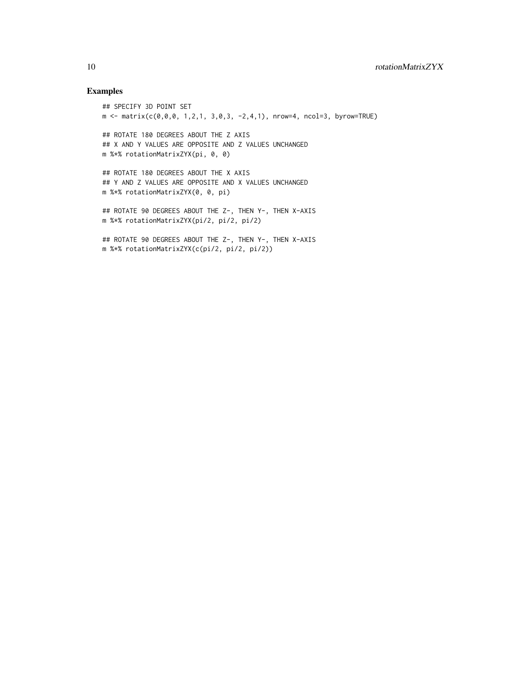#### Examples

```
## SPECIFY 3D POINT SET
m \leftarrow matrix(c(\emptyset, \emptyset, \emptyset, 1, 2, 1, 3, \emptyset, 3, -2, 4, 1), nrow=4, ncol=3, byrow=TRUE)## ROTATE 180 DEGREES ABOUT THE Z AXIS
## X AND Y VALUES ARE OPPOSITE AND Z VALUES UNCHANGED
m %*% rotationMatrixZYX(pi, 0, 0)
## ROTATE 180 DEGREES ABOUT THE X AXIS
## Y AND Z VALUES ARE OPPOSITE AND X VALUES UNCHANGED
m %*% rotationMatrixZYX(0, 0, pi)
## ROTATE 90 DEGREES ABOUT THE Z-, THEN Y-, THEN X-AXIS
m %*% rotationMatrixZYX(pi/2, pi/2, pi/2)
## ROTATE 90 DEGREES ABOUT THE Z-, THEN Y-, THEN X-AXIS
m %*% rotationMatrixZYX(c(pi/2, pi/2, pi/2))
```